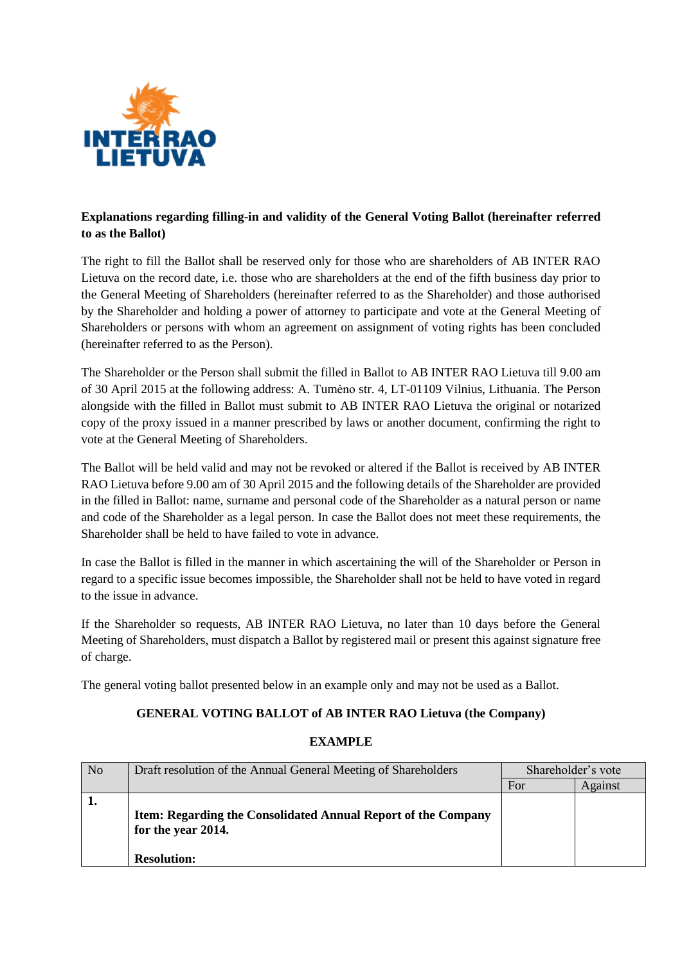

# **Explanations regarding filling-in and validity of the General Voting Ballot (hereinafter referred to as the Ballot)**

The right to fill the Ballot shall be reserved only for those who are shareholders of AB INTER RAO Lietuva on the record date, i.e. those who are shareholders at the end of the fifth business day prior to the General Meeting of Shareholders (hereinafter referred to as the Shareholder) and those authorised by the Shareholder and holding a power of attorney to participate and vote at the General Meeting of Shareholders or persons with whom an agreement on assignment of voting rights has been concluded (hereinafter referred to as the Person).

The Shareholder or the Person shall submit the filled in Ballot to AB INTER RAO Lietuva till 9.00 am of 30 April 2015 at the following address: A. Tumėno str. 4, LT-01109 Vilnius, Lithuania. The Person alongside with the filled in Ballot must submit to AB INTER RAO Lietuva the original or notarized copy of the proxy issued in a manner prescribed by laws or another document, confirming the right to vote at the General Meeting of Shareholders.

The Ballot will be held valid and may not be revoked or altered if the Ballot is received by AB INTER RAO Lietuva before 9.00 am of 30 April 2015 and the following details of the Shareholder are provided in the filled in Ballot: name, surname and personal code of the Shareholder as a natural person or name and code of the Shareholder as a legal person. In case the Ballot does not meet these requirements, the Shareholder shall be held to have failed to vote in advance.

In case the Ballot is filled in the manner in which ascertaining the will of the Shareholder or Person in regard to a specific issue becomes impossible, the Shareholder shall not be held to have voted in regard to the issue in advance.

If the Shareholder so requests, AB INTER RAO Lietuva, no later than 10 days before the General Meeting of Shareholders, must dispatch a Ballot by registered mail or present this against signature free of charge.

The general voting ballot presented below in an example only and may not be used as a Ballot.

# **GENERAL VOTING BALLOT of AB INTER RAO Lietuva (the Company)**

| N <sub>o</sub> | Draft resolution of the Annual General Meeting of Shareholders                                            | Shareholder's vote |         |
|----------------|-----------------------------------------------------------------------------------------------------------|--------------------|---------|
|                |                                                                                                           | For                | Against |
|                | Item: Regarding the Consolidated Annual Report of the Company<br>for the year 2014.<br><b>Resolution:</b> |                    |         |

### **EXAMPLE**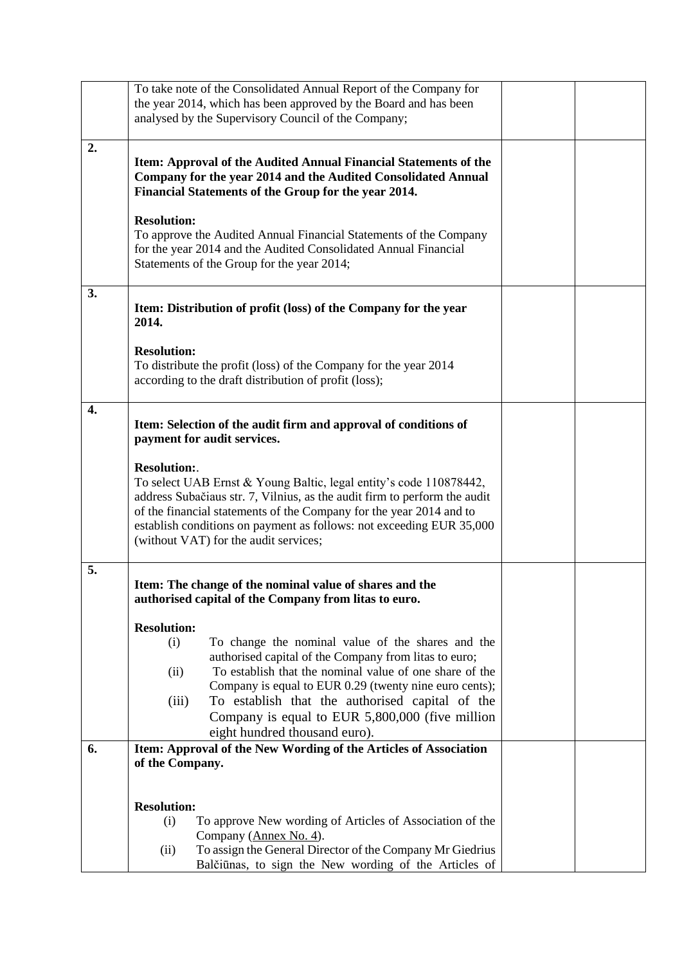|    | To take note of the Consolidated Annual Report of the Company for                                                |  |  |  |  |  |  |
|----|------------------------------------------------------------------------------------------------------------------|--|--|--|--|--|--|
|    | the year 2014, which has been approved by the Board and has been                                                 |  |  |  |  |  |  |
|    | analysed by the Supervisory Council of the Company;                                                              |  |  |  |  |  |  |
| 2. |                                                                                                                  |  |  |  |  |  |  |
|    | Item: Approval of the Audited Annual Financial Statements of the                                                 |  |  |  |  |  |  |
|    | Company for the year 2014 and the Audited Consolidated Annual                                                    |  |  |  |  |  |  |
|    | Financial Statements of the Group for the year 2014.                                                             |  |  |  |  |  |  |
|    |                                                                                                                  |  |  |  |  |  |  |
|    | <b>Resolution:</b>                                                                                               |  |  |  |  |  |  |
|    | To approve the Audited Annual Financial Statements of the Company                                                |  |  |  |  |  |  |
|    | for the year 2014 and the Audited Consolidated Annual Financial                                                  |  |  |  |  |  |  |
|    | Statements of the Group for the year 2014;                                                                       |  |  |  |  |  |  |
| 3. |                                                                                                                  |  |  |  |  |  |  |
|    | Item: Distribution of profit (loss) of the Company for the year                                                  |  |  |  |  |  |  |
|    | 2014.                                                                                                            |  |  |  |  |  |  |
|    |                                                                                                                  |  |  |  |  |  |  |
|    | <b>Resolution:</b>                                                                                               |  |  |  |  |  |  |
|    | To distribute the profit (loss) of the Company for the year 2014                                                 |  |  |  |  |  |  |
|    | according to the draft distribution of profit (loss);                                                            |  |  |  |  |  |  |
|    |                                                                                                                  |  |  |  |  |  |  |
| 4. | Item: Selection of the audit firm and approval of conditions of                                                  |  |  |  |  |  |  |
|    | payment for audit services.                                                                                      |  |  |  |  |  |  |
|    |                                                                                                                  |  |  |  |  |  |  |
|    | <b>Resolution:.</b>                                                                                              |  |  |  |  |  |  |
|    | To select UAB Ernst & Young Baltic, legal entity's code 110878442,                                               |  |  |  |  |  |  |
|    | address Subačiaus str. 7, Vilnius, as the audit firm to perform the audit                                        |  |  |  |  |  |  |
|    | of the financial statements of the Company for the year 2014 and to                                              |  |  |  |  |  |  |
|    | establish conditions on payment as follows: not exceeding EUR 35,000                                             |  |  |  |  |  |  |
|    | (without VAT) for the audit services;                                                                            |  |  |  |  |  |  |
| 5. |                                                                                                                  |  |  |  |  |  |  |
|    | Item: The change of the nominal value of shares and the                                                          |  |  |  |  |  |  |
|    | authorised capital of the Company from litas to euro.                                                            |  |  |  |  |  |  |
|    |                                                                                                                  |  |  |  |  |  |  |
|    | <b>Resolution:</b>                                                                                               |  |  |  |  |  |  |
|    | To change the nominal value of the shares and the<br>(i)                                                         |  |  |  |  |  |  |
|    | authorised capital of the Company from litas to euro;<br>To establish that the nominal value of one share of the |  |  |  |  |  |  |
|    | (ii)<br>Company is equal to EUR 0.29 (twenty nine euro cents);                                                   |  |  |  |  |  |  |
|    | To establish that the authorised capital of the<br>(iii)                                                         |  |  |  |  |  |  |
|    | Company is equal to EUR 5,800,000 (five million                                                                  |  |  |  |  |  |  |
|    | eight hundred thousand euro).                                                                                    |  |  |  |  |  |  |
| 6. | Item: Approval of the New Wording of the Articles of Association                                                 |  |  |  |  |  |  |
|    | of the Company.                                                                                                  |  |  |  |  |  |  |
|    |                                                                                                                  |  |  |  |  |  |  |
|    |                                                                                                                  |  |  |  |  |  |  |
|    | <b>Resolution:</b>                                                                                               |  |  |  |  |  |  |
|    | To approve New wording of Articles of Association of the<br>(i)                                                  |  |  |  |  |  |  |
|    | Company (Annex No. 4).<br>To assign the General Director of the Company Mr Giedrius                              |  |  |  |  |  |  |
|    | (ii)<br>Balčiūnas, to sign the New wording of the Articles of                                                    |  |  |  |  |  |  |
|    |                                                                                                                  |  |  |  |  |  |  |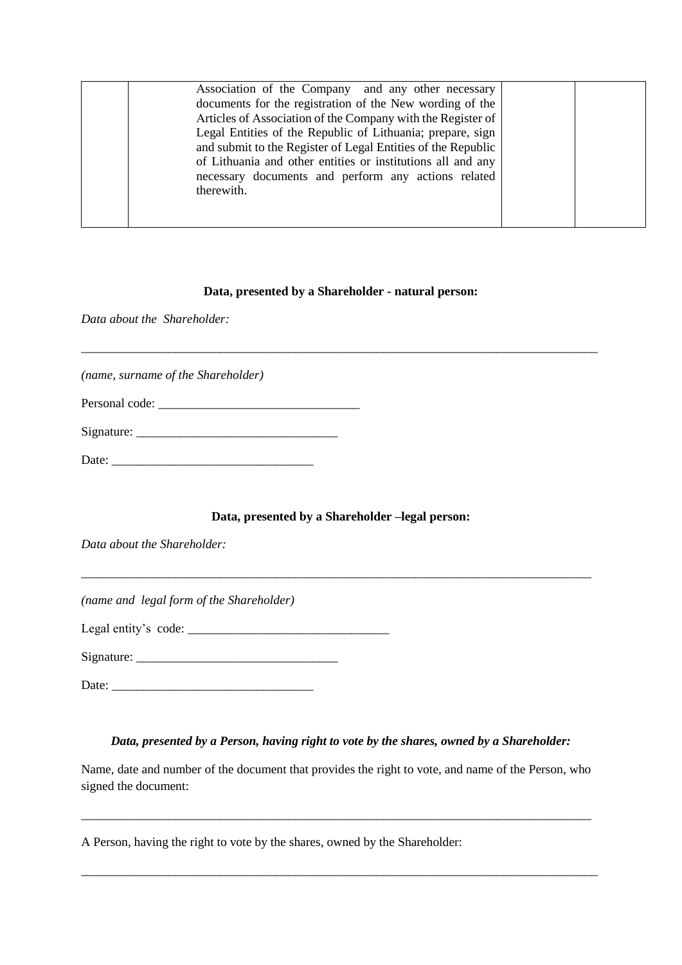| Association of the Company and any other necessary<br>documents for the registration of the New wording of the<br>Articles of Association of the Company with the Register of<br>Legal Entities of the Republic of Lithuania; prepare, sign<br>and submit to the Register of Legal Entities of the Republic<br>of Lithuania and other entities or institutions all and any<br>necessary documents and perform any actions related<br>therewith. |  |
|-------------------------------------------------------------------------------------------------------------------------------------------------------------------------------------------------------------------------------------------------------------------------------------------------------------------------------------------------------------------------------------------------------------------------------------------------|--|
|                                                                                                                                                                                                                                                                                                                                                                                                                                                 |  |

#### **Data, presented by a Shareholder - natural person:**

\_\_\_\_\_\_\_\_\_\_\_\_\_\_\_\_\_\_\_\_\_\_\_\_\_\_\_\_\_\_\_\_\_\_\_\_\_\_\_\_\_\_\_\_\_\_\_\_\_\_\_\_\_\_\_\_\_\_\_\_\_\_\_\_\_\_\_\_\_\_\_\_\_\_\_\_\_\_\_\_\_\_

*Data about the Shareholder:*

*(name, surname of the Shareholder)*

| Personal code: |  |  |  |
|----------------|--|--|--|
|                |  |  |  |

Signature: \_\_\_\_\_\_\_\_\_\_\_\_\_\_\_\_\_\_\_\_\_\_\_\_\_\_\_\_\_\_\_\_

 $Date:$ 

### **Data, presented by a Shareholder –legal person:**

\_\_\_\_\_\_\_\_\_\_\_\_\_\_\_\_\_\_\_\_\_\_\_\_\_\_\_\_\_\_\_\_\_\_\_\_\_\_\_\_\_\_\_\_\_\_\_\_\_\_\_\_\_\_\_\_\_\_\_\_\_\_\_\_\_\_\_\_\_\_\_\_\_\_\_\_\_\_\_\_\_

*Data about the Shareholder:*

*(name and legal form of the Shareholder)*

Legal entity's code:  $\frac{1}{2}$  code:  $\frac{1}{2}$  code:  $\frac{1}{2}$  code:  $\frac{1}{2}$  code:  $\frac{1}{2}$  code:  $\frac{1}{2}$  code:  $\frac{1}{2}$  code:  $\frac{1}{2}$  code:  $\frac{1}{2}$  code:  $\frac{1}{2}$  code:  $\frac{1}{2}$  code:  $\frac{1}{2}$  code:  $\frac{1}{2}$ 

Signature: \_\_\_\_\_\_\_\_\_\_\_\_\_\_\_\_\_\_\_\_\_\_\_\_\_\_\_\_\_\_\_\_

Date: \_\_\_\_\_\_\_\_\_\_\_\_\_\_\_\_\_\_\_\_\_\_\_\_\_\_\_\_\_\_\_\_

## *Data, presented by a Person, having right to vote by the shares, owned by a Shareholder:*

Name, date and number of the document that provides the right to vote, and name of the Person, who signed the document:

\_\_\_\_\_\_\_\_\_\_\_\_\_\_\_\_\_\_\_\_\_\_\_\_\_\_\_\_\_\_\_\_\_\_\_\_\_\_\_\_\_\_\_\_\_\_\_\_\_\_\_\_\_\_\_\_\_\_\_\_\_\_\_\_\_\_\_\_\_\_\_\_\_\_\_\_\_\_\_\_\_

\_\_\_\_\_\_\_\_\_\_\_\_\_\_\_\_\_\_\_\_\_\_\_\_\_\_\_\_\_\_\_\_\_\_\_\_\_\_\_\_\_\_\_\_\_\_\_\_\_\_\_\_\_\_\_\_\_\_\_\_\_\_\_\_\_\_\_\_\_\_\_\_\_\_\_\_\_\_\_\_\_\_

A Person, having the right to vote by the shares, owned by the Shareholder: